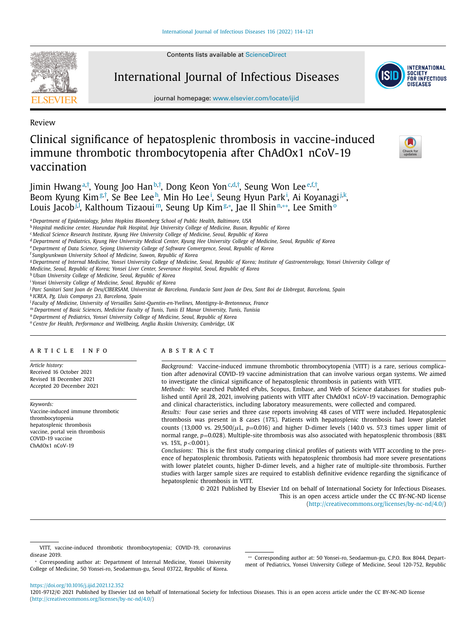Contents lists available at [ScienceDirect](http://www.ScienceDirect.com)



International Journal of Infectious Diseases



journal homepage: [www.elsevier.com/locate/ijid](http://www.elsevier.com/locate/ijid)

Review

# Clinical significance of hepatosplenic thrombosis in vaccine-induced immune thrombotic thrombocytopenia after ChAdOx1 nCoV-19 vaccination

Jimin Hwang<sup>a[,†](#page-1-0)</sup>, Young Joo Han<sup>b,†</sup>, Dong Keon Yon<sup>c,d,†</sup>, Seung Won Lee<sup>e,f,†</sup>, Beom Kyung Kim<sup>g[,†](#page-1-0)</sup>, Se Bee Leeh, Min Ho Leei, Seung Hyun Park<sup>i</sup>, Ai Koyanagi<sup>j,k</sup>, Louis Jacob<u>il,</u> Kalthoum Tizaoui™, Seung Up Kim&\*, Jae Il Shin™\*\*, Lee Smithº

<sup>a</sup> *Department of Epidemiology, Johns Hopkins Bloomberg School of Public Health, Baltimore, USA*

<sup>b</sup> *Hospital medicine center, Haeundae Paik Hospital, Inje University College of Medicine, Busan, Republic of Korea*

<sup>d</sup> Department of Pediatrics, Kyung Hee University Medical Center, Kyung Hee University College of Medicine, Seoul, Republic of Korea

<sup>e</sup> *Department of Data Science, Sejong University College of Software Convergence, Seoul, Republic of Korea*

<sup>f</sup> *Sungkyunkwan University School of Medicine, Suwon, Republic of Korea*

<sup>g</sup> Department of Internal Medicine, Yonsei University College of Medicine, Seoul, Republic of Korea; Institute of Gastroenterology, Yonsei University College of

*Medicine, Seoul, Republic of Korea; Yonsei Liver Center, Severance Hospital, Seoul, Republic of Korea*

<sup>h</sup> *Ulsan University College of Medicine, Seoul, Republic of Korea*

<sup>i</sup> *Yonsei University College of Medicine, Seoul, Republic of Korea*

<sup>k</sup> *ICREA, Pg. Lluis Companys 23, Barcelona, Spain*

<sup>l</sup> *Faculty of Medicine, University of Versailles Saint-Quentin-en-Yvelines, Montigny-le-Bretonneux, France*

<sup>m</sup> *Department of Basic Sciences, Medicine Faculty of Tunis, Tunis El Manar University, Tunis, Tunisia*

<sup>n</sup> *Department of Pediatrics, Yonsei University College of Medicine, Seoul, Republic of Korea*

<sup>o</sup> *Centre for Health, Performance and Wellbeing, Anglia Ruskin University, Cambridge, UK*

# a r t i c l e i n f o

*Article history:* Received 16 October 2021 Revised 18 December 2021 Accepted 20 December 2021

*Keywords:* Vaccine-induced immune thrombotic thrombocytopenia hepatosplenic thrombosis vaccine, portal vein thrombosis COVID-19 vaccine ChAdOx1 nCoV-19

# A B S T R A C T

*Background:* Vaccine-induced immune thrombotic thrombocytopenia (VITT) is a rare, serious complication after adenoviral COVID-19 vaccine administration that can involve various organ systems. We aimed to investigate the clinical significance of hepatosplenic thrombosis in patients with VITT.

*Methods:* We searched PubMed ePubs, Scopus, Embase, and Web of Science databases for studies published until April 28, 2021, involving patients with VITT after ChAdOx1 nCoV-19 vaccination. Demographic and clinical characteristics, including laboratory measurements, were collected and compared.

*Results:* Four case series and three case reports involving 48 cases of VITT were included. Hepatosplenic thrombosis was present in 8 cases (17%). Patients with hepatosplenic thrombosis had lower platelet counts (13,000 vs. 29,500/ $\mu$ L,  $p=0.016$ ) and higher D-dimer levels (140.0 vs. 57.3 times upper limit of normal range,  $p=0.028$ ). Multiple-site thrombosis was also associated with hepatosplenic thrombosis (88%) vs. 15%, *p*<0.001).

*Conclusions:* This is the first study comparing clinical profiles of patients with VITT according to the presence of hepatosplenic thrombosis. Patients with hepatosplenic thrombosis had more severe presentations with lower platelet counts, higher D-dimer levels, and a higher rate of multiple-site thrombosis. Further studies with larger sample sizes are required to establish definitive evidence regarding the significance of hepatosplenic thrombosis in VITT.

© 2021 Published by Elsevier Ltd on behalf of International Society for Infectious Diseases. This is an open access article under the CC BY-NC-ND license [\(http://creativecommons.org/licenses/by-nc-nd/4.0/\)](http://creativecommons.org/licenses/by-nc-nd/4.0/)

∗∗ Corresponding author at: 50 Yonsei-ro, Seodaemun-gu, C.P.O. Box 8044, Department of Pediatrics, Yonsei University College of Medicine, Seoul 120-752, Republic

<https://doi.org/10.1016/j.ijid.2021.12.352>

<sup>c</sup> *Medical Science Research Institute, Kyung Hee University College of Medicine, Seoul, Republic of Korea*

<sup>&</sup>lt;sup>j</sup> Parc Sanitari Sant Joan de Deu/CIBERSAM, Universitat de Barcelona, Fundacio Sant Joan de Deu, Sant Boi de Llobregat, Barcelona, Spain

VITT, vaccine-induced thrombotic thrombocytopenia; COVID-19, coronavirus disease 2019.

<sup>∗</sup> Corresponding author at: Department of Internal Medicine, Yonsei University College of Medicine, 50 Yonsei-ro, Seodaemun-gu, Seoul 03722, Republic of Korea.

<sup>1201-9712/© 2021</sup> Published by Elsevier Ltd on behalf of International Society for Infectious Diseases. This is an open access article under the CC BY-NC-ND license [\(http://creativecommons.org/licenses/by-nc-nd/4.0/\)](http://creativecommons.org/licenses/by-nc-nd/4.0/)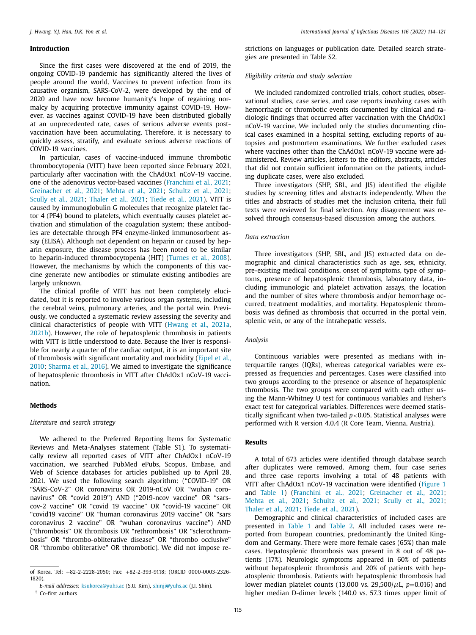# <span id="page-1-0"></span>**Introduction**

Since the first cases were discovered at the end of 2019, the ongoing COVID-19 pandemic has significantly altered the lives of people around the world. Vaccines to prevent infection from its causative organism, SARS-CoV-2, were developed by the end of 2020 and have now become humanity's hope of regaining normalcy by acquiring protective immunity against COVID-19. However, as vaccines against COVID-19 have been distributed globally at an unprecedented rate, cases of serious adverse events postvaccination have been accumulating. Therefore, it is necessary to quickly assess, stratify, and evaluate serious adverse reactions of COVID-19 vaccines.

In particular, cases of vaccine-induced immune thrombotic thrombocytopenia (VITT) have been reported since February 2021, particularly after vaccination with the ChAdOx1 nCoV-19 vaccine, one of the adenovirus vector-based vaccines [\(Franchini](#page-6-0) et al., 2021; [Greinacher](#page-6-0) et al., 2021; [Mehta](#page-6-0) et al., 2021; [Schultz](#page-7-0) et al., 2021; [Scully](#page-7-0) et al., 2021; [Thaler](#page-7-0) et al., 2021; [Tiede](#page-7-0) et al., 2021). VITT is caused by immunoglobulin G molecules that recognize platelet factor 4 (PF4) bound to platelets, which eventually causes platelet activation and stimulation of the coagulation system; these antibodies are detectable through PF4 enzyme-linked immunosorbent assay (ELISA). Although not dependent on heparin or caused by heparin exposure, the disease process has been noted to be similar to heparin-induced thrombocytopenia (HIT) [\(Turnes](#page-7-0) et al., 2008). However, the mechanisms by which the components of this vaccine generate new antibodies or stimulate existing antibodies are largely unknown.

The clinical profile of VITT has not been completely elucidated, but it is reported to involve various organ systems, including the cerebral veins, pulmonary arteries, and the portal vein. Previously, we conducted a systematic review assessing the severity and clinical characteristics of people with VITT [\(Hwang](#page-6-0) et al., 2021a, [2021b\)](#page-6-0). However, the role of hepatosplenic thrombosis in patients with VITT is little understood to date. Because the liver is responsible for nearly a quarter of the cardiac output, it is an important site of thrombosis with significant mortality and morbidity (Eipel et al., 2010; [Sharma](#page-7-0) et al., 2016). We aimed to investigate the [significance](#page-6-0) of hepatosplenic thrombosis in VITT after ChAdOx1 nCoV-19 vaccination.

### **Methods**

## *Literature and search strategy*

We adhered to the Preferred Reporting Items for Systematic Reviews and Meta-Analyses statement (Table S1). To systematically review all reported cases of VITT after ChAdOx1 nCoV-19 vaccination, we searched PubMed ePubs, Scopus, Embase, and Web of Science databases for articles published up to April 28, 2021. We used the following search algorithm: ("COVID-19" OR "SARS-CoV-2" OR coronavirus OR 2019-nCoV OR "wuhan coronavirus" OR "covid 2019") AND ("2019-ncov vaccine" OR "sarscov-2 vaccine" OR "covid 19 vaccine" OR "covid-19 vaccine" OR "covid19 vaccine" OR "human coronavirus 2019 vaccine" OR "sars coronavirus 2 vaccine" OR "wuhan coronavirus vaccine") AND ("thrombosis" OR thrombosis OR "rethrombosis" OR "sclerothrombosis" OR "thrombo-obliterative disease" OR "thrombo occlusive" OR "thrombo obliterative" OR thrombotic). We did not impose restrictions on languages or publication date. Detailed search strategies are presented in Table S2.

# *Eligibility criteria and study selection*

We included randomized controlled trials, cohort studies, observational studies, case series, and case reports involving cases with hemorrhagic or thrombotic events documented by clinical and radiologic findings that occurred after vaccination with the ChAdOx1 nCoV-19 vaccine. We included only the studies documenting clinical cases examined in a hospital setting, excluding reports of autopsies and postmortem examinations. We further excluded cases where vaccines other than the ChAdOx1 nCoV-19 vaccine were administered. Review articles, letters to the editors, abstracts, articles that did not contain sufficient information on the patients, including duplicate cases, were also excluded.

Three investigators (SHP, SBL, and JIS) identified the eligible studies by screening titles and abstracts independently. When the titles and abstracts of studies met the inclusion criteria, their full texts were reviewed for final selection. Any disagreement was resolved through consensus-based discussion among the authors.

# *Data extraction*

Three investigators (SHP, SBL, and JIS) extracted data on demographic and clinical characteristics such as age, sex, ethnicity, pre-existing medical conditions, onset of symptoms, type of symptoms, presence of hepatosplenic thrombosis, laboratory data, including immunologic and platelet activation assays, the location and the number of sites where thrombosis and/or hemorrhage occurred, treatment modalities, and mortality. Hepatosplenic thrombosis was defined as thrombosis that occurred in the portal vein, splenic vein, or any of the intrahepatic vessels.

## *Analysis*

Continuous variables were presented as medians with interquartile ranges (IQRs), whereas categorical variables were expressed as frequencies and percentages. Cases were classified into two groups according to the presence or absence of hepatosplenic thrombosis. The two groups were compared with each other using the Mann-Whitney U test for continuous variables and Fisher's exact test for categorical variables. Differences were deemed statistically significant when two-tailed *p*<0.05. Statistical analyses were performed with R version 4.0.4 (R Core Team, Vienna, Austria).

# **Results**

A total of 673 articles were identified through database search after duplicates were removed. Among them, four case series and three case reports involving a total of 48 patients with VITT after ChAdOx1 nCoV-19 vaccination were identified [\(Figure](#page-2-0) 1 and [Table](#page-2-0) 1) [\(Franchini](#page-6-0) et al., 2021; [Greinacher](#page-6-0) et al., 2021; [Mehta](#page-6-0) et al., 2021; [Schultz](#page-7-0) et al., 2021; [Scully](#page-7-0) et al., 2021; [Thaler](#page-7-0) et al., 2021; [Tiede](#page-7-0) et al., 2021).

Demographic and clinical characteristics of included cases are presented in [Table](#page-2-0) 1 and [Table](#page-3-0) 2. All included cases were reported from European countries, predominantly the United Kingdom and Germany. There were more female cases (65%) than male cases. Hepatosplenic thrombosis was present in 8 out of 48 patients (17%). Neurologic symptoms appeared in 60% of patients without hepatosplenic thrombosis and 20% of patients with hepatosplenic thrombosis. Patients with hepatosplenic thrombosis had lower median platelet counts (13,000 vs.  $29,500/\mu$ L,  $p=0.016$ ) and higher median D-dimer levels (140.0 vs. 57.3 times upper limit of

of Korea. Tel: +82-2-2228-2050; Fax: +82-2-393-9118; (ORCID 0000-0003-2326- 1820).

*E-mail addresses:* [ksukorea@yuhs.ac](mailto:ksukorea@yuhs.ac) (S.U. Kim), [shinji@yuhs.ac](mailto:shinji@yuhs.ac) (J.I. Shin). † Co-first authors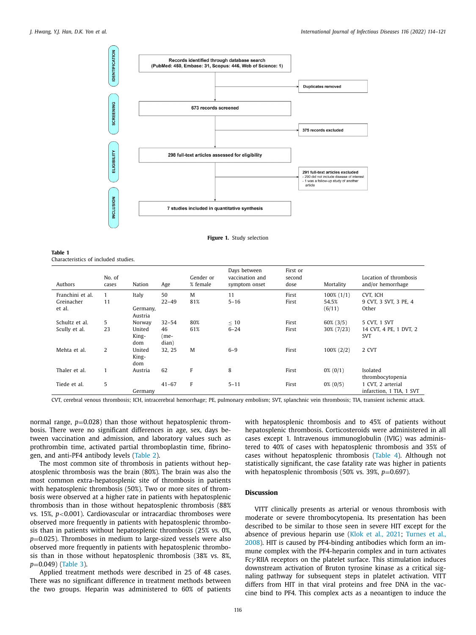<span id="page-2-0"></span>

**Figure 1.** Study selection

| Table 1 |                                      |  |
|---------|--------------------------------------|--|
|         | Characteristics of included studies. |  |

| Authors          | No. of<br>cases | Nation                 | Age                 | Gender or<br>% female | Days between<br>vaccination and<br>symptom onset | First or<br>second<br>dose | Mortality       | Location of thrombosis<br>and/or hemorrhage   |
|------------------|-----------------|------------------------|---------------------|-----------------------|--------------------------------------------------|----------------------------|-----------------|-----------------------------------------------|
| Franchini et al. | 1               | Italy                  | 50                  | M                     | 11                                               | First                      | $100\%$ $(1/1)$ | CVT. ICH                                      |
| Greinacher       | 11              |                        | $22 - 49$           | 81%                   | $5 - 16$                                         | First                      | 54.5%           | 9 CVT, 3 SVT, 3 PE, 4                         |
| et al.           |                 | Germany,<br>Austria    |                     |                       |                                                  |                            | (6/11)          | Other                                         |
| Schultz et al.   | 5               | Norway                 | $32 - 54$           | 80%                   | $\leq 10$                                        | First                      | $60\%$ (3/5)    | 5 CVT, 1 SVT                                  |
| Scully et al.    | 23              | United<br>King-<br>dom | 46<br>(me-<br>dian) | 61%                   | $6 - 24$                                         | First                      | 30% (7/23)      | 14 CVT, 4 PE, 1 DVT, 2<br><b>SVT</b>          |
| Mehta et al.     | $\overline{2}$  | United<br>King-<br>dom | 32, 25              | M                     | $6 - 9$                                          | First                      | $100\% (2/2)$   | 2 CVT                                         |
| Thaler et al.    |                 | Austria                | 62                  | F                     | 8                                                | First                      | $0\%$ (0/1)     | Isolated<br>thrombocytopenia                  |
| Tiede et al.     | 5               | Germany                | $41 - 67$           | F                     | $5 - 11$                                         | First                      | $0\%$ (0/5)     | 1 CVT, 2 arterial<br>infarction, 1 TIA, 1 SVT |

CVT, cerebral venous thrombosis; ICH, intracerebral hemorrhage; PE, pulmonary embolism; SVT, splanchnic vein thrombosis; TIA, transient ischemic attack.

normal range,  $p=0.028$ ) than those without hepatosplenic thrombosis. There were no significant differences in age, sex, days between vaccination and admission, and laboratory values such as prothrombin time, activated partial thromboplastin time, fibrinogen, and anti-PF4 antibody levels [\(Table](#page-3-0) 2).

The most common site of thrombosis in patients without hepatosplenic thrombosis was the brain (80%). The brain was also the most common extra-hepatosplenic site of thrombosis in patients with hepatosplenic thrombosis (50%). Two or more sites of thrombosis were observed at a higher rate in patients with hepatosplenic thrombosis than in those without hepatosplenic thrombosis (88% vs. 15%, *p*<0.001). Cardiovascular or intracardiac thromboses were observed more frequently in patients with hepatosplenic thrombosis than in patients without hepatosplenic thrombosis (25% vs. 0%, *p*=0.025). Thromboses in medium to large-sized vessels were also observed more frequently in patients with hepatosplenic thrombosis than in those without hepatosplenic thrombosis (38% vs. 8%, *p*=0.049) [\(Table](#page-4-0) 3).

Applied treatment methods were described in 25 of 48 cases. There was no significant difference in treatment methods between the two groups. Heparin was administered to 60% of patients

with hepatosplenic thrombosis and to 45% of patients without hepatosplenic thrombosis. Corticosteroids were administered in all cases except 1. Intravenous immunoglobulin (IVIG) was administered to 40% of cases with hepatosplenic thrombosis and 35% of cases without hepatosplenic thrombosis [\(Table](#page-4-0) 4). Although not statistically significant, the case fatality rate was higher in patients with hepatosplenic thrombosis (50% vs. 39%,  $p=0.697$ ).

# **Discussion**

VITT clinically presents as arterial or venous thrombosis with moderate or severe thrombocytopenia. Its presentation has been described to be similar to those seen in severe HIT except for the absence of previous heparin use (Klok et al., [2021;](#page-6-0) Turnes et al., 2008). HIT is caused by [PF4-binding](#page-7-0) antibodies which form an immune complex with the PF4-heparin complex and in turn activates  $Fc\gamma$  RIIA receptors on the platelet surface. This stimulation induces downstream activation of Bruton tyrosine kinase as a critical signaling pathway for subsequent steps in platelet activation. VITT differs from HIT in that viral proteins and free DNA in the vaccine bind to PF4. This complex acts as a neoantigen to induce the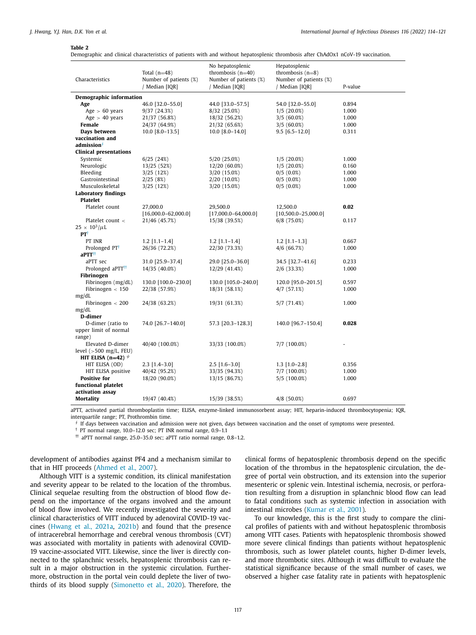#### <span id="page-3-0"></span>**Table 2**

Demographic and clinical characteristics of patients with and without hepatosplenic thrombosis after ChAdOx1 nCoV-19 vaccination.

| Characteristics                                      | Total $(n=48)$<br>Number of patients (%)<br>/ Median [IQR] | No hepatosplenic<br>thrombosis $(n=40)$<br>Number of patients (%)<br>/ Median [IQR] | Hepatosplenic<br>thrombosis $(n=8)$<br>Number of patients (%)<br>/ Median [IQR] | P-value |  |  |  |
|------------------------------------------------------|------------------------------------------------------------|-------------------------------------------------------------------------------------|---------------------------------------------------------------------------------|---------|--|--|--|
| Demographic information                              |                                                            |                                                                                     |                                                                                 |         |  |  |  |
| Age                                                  | 46.0 [32.0-55.0]                                           | 44.0 [33.0-57.5]                                                                    | 54.0 [32.0-55.0]                                                                | 0.894   |  |  |  |
| Age $> 60$ years                                     | 9/37 (24.3%)                                               | 8/32 (25.0%)                                                                        | $1/5(20.0\%)$                                                                   | 1.000   |  |  |  |
| Age $>$ 40 years                                     | 21/37 (56.8%)                                              | 18/32 (56.2%)                                                                       | $3/5(60.0\%)$                                                                   | 1.000   |  |  |  |
| Female                                               | 24/37 (64.9%)                                              | 21/32 (65.6%)                                                                       | $3/5(60.0\%)$                                                                   | 1.000   |  |  |  |
| Days between                                         | $10.0$ [8.0-13.5]                                          | $10.0$ [8.0-14.0]                                                                   | $9.5$ [6.5-12.0]                                                                | 0.311   |  |  |  |
| vaccination and                                      |                                                            |                                                                                     |                                                                                 |         |  |  |  |
| admission $\overline{ }$                             |                                                            |                                                                                     |                                                                                 |         |  |  |  |
| <b>Clinical presentations</b>                        |                                                            |                                                                                     |                                                                                 |         |  |  |  |
| Systemic                                             | 6/25(24%)                                                  | 5/20 (25.0%)                                                                        | $1/5(20.0\%)$                                                                   | 1.000   |  |  |  |
| Neurologic                                           | 13/25 (52%)                                                | 12/20 (60.0%)                                                                       | $1/5(20.0\%)$                                                                   | 0.160   |  |  |  |
| Bleeding                                             | 3/25(12%)                                                  | 3/20 (15.0%)                                                                        | $0/5(0.0\%)$                                                                    | 1.000   |  |  |  |
| Gastrointestinal                                     | 2/25(8%)                                                   | 2/20 (10.0%)                                                                        | $0/5(0.0\%)$                                                                    | 1.000   |  |  |  |
| Musculoskeletal                                      | 3/25(12%)                                                  | 3/20 (15.0%)                                                                        | $0/5(0.0\%)$                                                                    | 1.000   |  |  |  |
| <b>Laboratory findings</b>                           |                                                            |                                                                                     |                                                                                 |         |  |  |  |
| <b>Platelet</b>                                      |                                                            |                                                                                     |                                                                                 |         |  |  |  |
| Platelet count                                       | 27,000.0                                                   | 29,500.0                                                                            | 12,500.0                                                                        | 0.02    |  |  |  |
|                                                      | $[16,000.0 - 62,000.0]$                                    | $[17,000.0 - 64,000.0]$                                                             | $[10,500.0-25,000.0]$                                                           |         |  |  |  |
| Platelet count <                                     | 21/46 (45.7%)                                              | 15/38 (39.5%)                                                                       | $6/8$ (75.0%)                                                                   | 0.117   |  |  |  |
| $25 \times 10^3/\mu L$                               |                                                            |                                                                                     |                                                                                 |         |  |  |  |
| $PT^{\dagger}$                                       |                                                            |                                                                                     |                                                                                 |         |  |  |  |
| PT INR                                               | $1.2$ [1.1-1.4]                                            | $1.2$ [1.1-1.4]                                                                     | $1.2$ [1.1-1.3]                                                                 | 0.667   |  |  |  |
| Prolonged PT <sup>†</sup><br>$aPTT^{\dagger\dagger}$ | 26/36 (72.2%)                                              | 22/30 (73.3%)                                                                       | 4/6(66.7%)                                                                      | 1.000   |  |  |  |
| aPTT sec                                             |                                                            | 29.0 [25.0-36.0]                                                                    | 34.5 [32.7-41.6]                                                                | 0.233   |  |  |  |
| Prolonged aPTT <sup>††</sup>                         | 31.0 [25.9-37.4]<br>14/35 (40.0%)                          | 12/29 (41.4%)                                                                       | $2/6$ (33.3%)                                                                   | 1.000   |  |  |  |
| Fibrinogen                                           |                                                            |                                                                                     |                                                                                 |         |  |  |  |
| Fibrinogen (mg/dL)                                   | 130.0 [100.0-230.0]                                        | 130.0 [105.0-240.0]                                                                 | 120.0 [95.0-201.5]                                                              | 0.597   |  |  |  |
| Fibrinogen $<$ 150                                   | 22/38 (57.9%)                                              | 18/31 (58.1%)                                                                       | 4/7(57.1%)                                                                      | 1.000   |  |  |  |
| mg/dL                                                |                                                            |                                                                                     |                                                                                 |         |  |  |  |
| Fibrinogen $< 200$                                   | 24/38 (63.2%)                                              | 19/31 (61.3%)                                                                       | 5/7(71.4%)                                                                      | 1.000   |  |  |  |
| mg/dL                                                |                                                            |                                                                                     |                                                                                 |         |  |  |  |
| D-dimer                                              |                                                            |                                                                                     |                                                                                 |         |  |  |  |
| D-dimer (ratio to                                    | 74.0 [26.7-140.0]                                          | 57.3 [20.3-128.3]                                                                   | 140.0 [96.7-150.4]                                                              | 0.028   |  |  |  |
| upper limit of normal                                |                                                            |                                                                                     |                                                                                 |         |  |  |  |
| range)                                               |                                                            |                                                                                     |                                                                                 |         |  |  |  |
| Elevated D-dimer                                     | 40/40 (100.0%)                                             | 33/33 (100.0%)                                                                      | 7/7 (100.0%)                                                                    |         |  |  |  |
| level $(>500$ mg/L, FEU)                             |                                                            |                                                                                     |                                                                                 |         |  |  |  |
| HIT ELISA (n=42) $\psi$                              |                                                            |                                                                                     |                                                                                 |         |  |  |  |
| HIT ELISA (OD)                                       | $2.3$ [1.4-3.0]                                            | $2.5$ [1.6-3.0]                                                                     | $1.3$ [1.0-2.8]                                                                 | 0.356   |  |  |  |
| HIT ELISA positive                                   | 40/42 (95.2%)                                              | 33/35 (94.3%)                                                                       | 7/7 (100.0%)                                                                    | 1.000   |  |  |  |
| <b>Positive for</b>                                  | 18/20 (90.0%)                                              | 13/15 (86.7%)                                                                       | 5/5 (100.0%)                                                                    | 1.000   |  |  |  |
| functional platelet                                  |                                                            |                                                                                     |                                                                                 |         |  |  |  |
| activation assay                                     |                                                            |                                                                                     |                                                                                 |         |  |  |  |
| <b>Mortality</b>                                     | 19/47 (40.4%)                                              | 15/39 (38.5%)                                                                       | $4/8$ (50.0%)                                                                   | 0.697   |  |  |  |
|                                                      |                                                            |                                                                                     |                                                                                 |         |  |  |  |

aPTT, activated partial thromboplastin time; ELISA, enzyme-linked immunosorbent assay; HIT, heparin-induced thrombocytopenia; IQR, interquartile range; PT, Prothrombin time.

 $\oint$  If days between vaccination and admission were not given, days between vaccination and the onset of symptoms were presented.

† PT normal range, 10.0–12.0 sec; PT INR normal range, 0.9–1.1

†† aPTT normal range, 25.0–35.0 sec; aPTT ratio normal range, 0.8–1.2.

development of antibodies against PF4 and a mechanism similar to that in HIT proceeds [\(Ahmed](#page-6-0) et al., 2007).

Although VITT is a systemic condition, its clinical manifestation and severity appear to be related to the location of the thrombus. Clinical sequelae resulting from the obstruction of blood flow depend on the importance of the organs involved and the amount of blood flow involved. We recently investigated the severity and clinical characteristics of VITT induced by adenoviral COVID-19 vaccines [\(Hwang](#page-6-0) et al., 2021a, [2021b\)](#page-6-0) and found that the presence of intracerebral hemorrhage and cerebral venous thrombosis (CVT) was associated with mortality in patients with adenoviral COVID-19 vaccine-associated VITT. Likewise, since the liver is directly connected to the splanchnic vessels, hepatosplenic thrombosis can result in a major obstruction in the systemic circulation. Furthermore, obstruction in the portal vein could deplete the liver of twothirds of its blood supply [\(Simonetto](#page-7-0) et al., 2020). Therefore, the clinical forms of hepatosplenic thrombosis depend on the specific location of the thrombus in the hepatosplenic circulation, the degree of portal vein obstruction, and its extension into the superior mesenteric or splenic vein. Intestinal ischemia, necrosis, or perforation resulting from a disruption in splanchnic blood flow can lead to fatal conditions such as systemic infection in association with intestinal microbes [\(Kumar](#page-6-0) et al., 2001).

To our knowledge, this is the first study to compare the clinical profiles of patients with and without hepatosplenic thrombosis among VITT cases. Patients with hepatosplenic thrombosis showed more severe clinical findings than patients without hepatosplenic thrombosis, such as lower platelet counts, higher D-dimer levels, and more thrombotic sites. Although it was difficult to evaluate the statistical significance because of the small number of cases, we observed a higher case fatality rate in patients with hepatosplenic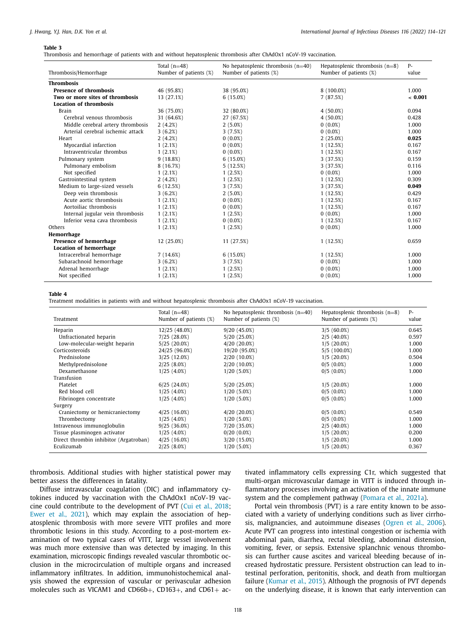#### <span id="page-4-0"></span>**Table 3**

Thrombosis and hemorrhage of patients with and without hepatosplenic thrombosis after ChAdOx1 nCoV-19 vaccination.

| Thrombosis/Hemorrhage             | Total $(n=48)$<br>Number of patients (%) | No hepatosplenic thrombosis $(n=40)$<br>Number of patients (%) | Hepatosplenic thrombosis $(n=8)$<br>Number of patients (%) | $P-$<br>value |
|-----------------------------------|------------------------------------------|----------------------------------------------------------------|------------------------------------------------------------|---------------|
| <b>Thrombosis</b>                 |                                          |                                                                |                                                            |               |
| <b>Presence of thrombosis</b>     | 46 (95.8%)                               | 38 (95.0%)                                                     | 8 (100.0%)                                                 | 1.000         |
| Two or more sites of thrombosis   | 13 (27.1%)                               | 6(15.0%)                                                       | 7(87.5%)                                                   | ~< 0.001      |
| <b>Location of thrombosis</b>     |                                          |                                                                |                                                            |               |
| <b>Brain</b>                      | 36 (75.0%)                               | 32 (80.0%)                                                     | $4(50.0\%)$                                                | 0.094         |
| Cerebral venous thrombosis        | 31 (64.6%)                               | 27 (67.5%)                                                     | $4(50.0\%)$                                                | 0.428         |
| Middle cerebral artery thrombosis | 2(4.2%)                                  | 2(5.0%)                                                        | $0(0.0\%)$                                                 | 1.000         |
| Arterial cerebral ischemic attack | 3(6.2%)                                  | 3(7.5%)                                                        | $0(0.0\%)$                                                 | 1.000         |
| Heart                             | 2(4.2%)                                  | $0(0.0\%)$                                                     | 2(25.0%)                                                   | 0.025         |
| Myocardial infarction             | 1(2.1%)                                  | $0(0.0\%)$                                                     | 1(12.5%)                                                   | 0.167         |
| Intraventricular thrombus         | 1(2.1%)                                  | $0(0.0\%)$                                                     | 1(12.5%)                                                   | 0.167         |
| Pulmonary system                  | 9(18.8%)                                 | 6(15.0%)                                                       | 3(37.5%)                                                   | 0.159         |
| Pulmonary embolism                | 8 (16.7%)                                | 5(12.5%)                                                       | 3(37.5%)                                                   | 0.116         |
| Not specified                     | 1(2.1%)                                  | 1(2.5%)                                                        | $0(0.0\%)$                                                 | 1.000         |
| Gastrointestinal system           | 2(4.2%)                                  | 1(2.5%)                                                        | 1(12.5%)                                                   | 0.309         |
| Medium to large-sized vessels     | 6(12.5%)                                 | 3(7.5%)                                                        | 3(37.5%)                                                   | 0.049         |
| Deep vein thrombosis              | 3(6.2%)                                  | 2(5.0%)                                                        | 1(12.5%)                                                   | 0.429         |
| Acute aortic thrombosis           | 1(2.1%)                                  | $0(0.0\%)$                                                     | 1(12.5%)                                                   | 0.167         |
| Aortoiliac thrombosis             | 1(2.1%)                                  | $0(0.0\%)$                                                     | 1(12.5%)                                                   | 0.167         |
| Internal jugular vein thrombosis  | 1(2.1%)                                  | 1(2.5%)                                                        | $0(0.0\%)$                                                 | 1.000         |
| Inferior vena cava thrombosis     | 1(2.1%)                                  | $0(0.0\%)$                                                     | 1(12.5%)                                                   | 0.167         |
| Others                            | 1(2.1%)                                  | 1(2.5%)                                                        | $0(0.0\%)$                                                 | 1.000         |
| Hemorrhage                        |                                          |                                                                |                                                            |               |
| Presence of hemorrhage            | 12 (25.0%)                               | 11 (27.5%)                                                     | 1(12.5%)                                                   | 0.659         |
| <b>Location of hemorrhage</b>     |                                          |                                                                |                                                            |               |
| Intracerebral hemorrhage          | 7(14.6%)                                 | 6(15.0%)                                                       | 1(12.5%)                                                   | 1.000         |
| Subarachnoid hemorrhage           | 3(6.2%)                                  | 3(7.5%)                                                        | $0(0.0\%)$                                                 | 1.000         |
| Adrenal hemorrhage                | 1(2.1%)                                  | 1(2.5%)                                                        | $0(0.0\%)$                                                 | 1.000         |
| Not specified                     | 1(2.1%)                                  | 1(2.5%)                                                        | $0(0.0\%)$                                                 | 1.000         |

## **Table 4**

Treatment modalities in patients with and without hepatosplenic thrombosis after ChAdOx1 nCoV-19 vaccination.

| Treatment                              | Total $(n=48)$<br>Number of patients (%) | No hepatosplenic thrombosis $(n=40)$<br>Number of patients (%) | Hepatosplenic thrombosis $(n=8)$<br>Number of patients (%) | $P-$<br>value |
|----------------------------------------|------------------------------------------|----------------------------------------------------------------|------------------------------------------------------------|---------------|
| Heparin                                | 12/25 (48.0%)                            | 9/20(45.0%)                                                    | $3/5(60.0\%)$                                              | 0.645         |
| Unfractionated heparin                 | 7/25 (28.0%)                             | 5/20 (25.0%)                                                   | $2/5(40.0\%)$                                              | 0.597         |
| Low-molecular-weight heparin           | $5/25(20.0\%)$                           | $4/20(20.0\%)$                                                 | $1/5(20.0\%)$                                              | 1.000         |
| Corticosteroids                        | 24/25 (96.0%)                            | 19/20 (95.0%)                                                  | 5/5 (100.0%)                                               | 1.000         |
| Prednisolone                           | 3/25 (12.0%)                             | 2/20 (10.0%)                                                   | $1/5(20.0\%)$                                              | 0.504         |
| Methylprednisolone                     | 2/25(8.0%)                               | 2/20 (10.0%)                                                   | $0/5(0.0\%)$                                               | 1.000         |
| Dexamethasone                          | $1/25(4.0\%)$                            | $1/20(5.0\%)$                                                  | $0/5(0.0\%)$                                               | 1.000         |
| Transfusion                            |                                          |                                                                |                                                            |               |
| Platelet                               | 6/25(24.0%)                              | 5/20 (25.0%)                                                   | $1/5(20.0\%)$                                              | 1.000         |
| Red blood cell                         | $1/25(4.0\%)$                            | $1/20(5.0\%)$                                                  | $0/5(0.0\%)$                                               | 1.000         |
| Fibrinogen concentrate                 | $1/25(4.0\%)$                            | $1/20(5.0\%)$                                                  | $0/5(0.0\%)$                                               | 1.000         |
| Surgery                                |                                          |                                                                |                                                            |               |
| Craniectomy or hemicraniectomy         | 4/25(16.0%)                              | $4/20(20.0\%)$                                                 | $0/5(0.0\%)$                                               | 0.549         |
| Thrombectomy                           | $1/25(4.0\%)$                            | $1/20(5.0\%)$                                                  | $0/5(0.0\%)$                                               | 1.000         |
| Intravenous immunoglobulin             | 9/25(36.0%)                              | 7/20 (35.0%)                                                   | $2/5(40.0\%)$                                              | 1.000         |
| Tissue plasminogen activator           | $1/25(4.0\%)$                            | $0/20(0.0\%)$                                                  | $1/5(20.0\%)$                                              | 0.200         |
| Direct thrombin inhibitor (Argatroban) | 4/25(16.0%)                              | 3/20 (15.0%)                                                   | $1/5(20.0\%)$                                              | 1.000         |
| Eculizumab                             | 2/25(8.0%)                               | $1/20(5.0\%)$                                                  | $1/5(20.0\%)$                                              | 0.367         |

thrombosis. Additional studies with higher statistical power may better assess the differences in fatality.

Diffuse intravascular coagulation (DIC) and inflammatory cytokines induced by vaccination with the ChAdOx1 nCoV-19 vaccine could contribute to the development of PVT (Cui et al., [2018;](#page-6-0) Ewer et al., [2021\)](#page-6-0), which may explain the association of hepatosplenic thrombosis with more severe VITT profiles and more thrombotic lesions in this study. According to a post-mortem examination of two typical cases of VITT, large vessel involvement was much more extensive than was detected by imaging. In this examination, microscopic findings revealed vascular thrombotic occlusion in the microcirculation of multiple organs and increased inflammatory infiltrates. In addition, immunohistochemical analysis showed the expression of vascular or perivascular adhesion molecules such as VICAM1 and CD66b+, CD163+, and CD61+ activated inflammatory cells expressing C1r, which suggested that multi-organ microvascular damage in VITT is induced through inflammatory processes involving an activation of the innate immune system and the complement pathway [\(Pomara](#page-6-0) et al., 2021a).

Portal vein thrombosis (PVT) is a rare entity known to be associated with a variety of underlying conditions such as liver cirrhosis, malignancies, and autoimmune diseases [\(Ogren](#page-6-0) et al., 2006). Acute PVT can progress into intestinal congestion or ischemia with abdominal pain, diarrhea, rectal bleeding, abdominal distension, vomiting, fever, or sepsis. Extensive splanchnic venous thrombosis can further cause ascites and variceal bleeding because of increased hydrostatic pressure. Persistent obstruction can lead to intestinal perforation, peritonitis, shock, and death from multiorgan failure [\(Kumar](#page-6-0) et al., 2015). Although the prognosis of PVT depends on the underlying disease, it is known that early intervention can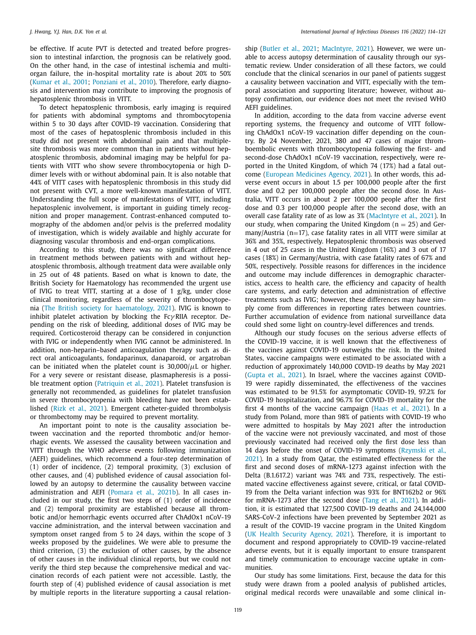be effective. If acute PVT is detected and treated before progression to intestinal infarction, the prognosis can be relatively good. On the other hand, in the case of intestinal ischemia and multiorgan failure, the in-hospital mortality rate is about 20% to 50% [\(Kumar](#page-6-0) et al., 2001; [Ponziani](#page-7-0) et al., 2010). Therefore, early diagnosis and intervention may contribute to improving the prognosis of hepatosplenic thrombosis in VITT.

To detect hepatosplenic thrombosis, early imaging is required for patients with abdominal symptoms and thrombocytopenia within 5 to 30 days after COVID-19 vaccination. Considering that most of the cases of hepatosplenic thrombosis included in this study did not present with abdominal pain and that multiplesite thrombosis was more common than in patients without hepatosplenic thrombosis, abdominal imaging may be helpful for patients with VITT who show severe thrombocytopenia or high Ddimer levels with or without abdominal pain. It is also notable that 44% of VITT cases with hepatosplenic thrombosis in this study did not present with CVT, a more well-known manifestation of VITT. Understanding the full scope of manifestations of VITT, including hepatosplenic involvement, is important in guiding timely recognition and proper management. Contrast-enhanced computed tomography of the abdomen and/or pelvis is the preferred modality of investigation, which is widely available and highly accurate for diagnosing vascular thrombosis and end-organ complications.

According to this study, there was no significant difference in treatment methods between patients with and without hepatosplenic thrombosis, although treatment data were available only in 25 out of 48 patients. Based on what is known to date, the British Society for Haematology has recommended the urgent use of IVIG to treat VITT, starting at a dose of 1 g/kg, under close clinical monitoring, regardless of the severity of thrombocytopenia (The British society for [haematology,](#page-7-0) 2021). IVIG is known to inhibit platelet activation by blocking the  $Fc\gamma$ RIIA receptor. Depending on the risk of bleeding, additional doses of IVIG may be required. Corticosteroid therapy can be considered in conjunction with IVIG or independently when IVIG cannot be administered. In addition, non-heparin–based anticoagulation therapy such as direct oral anticoagulants, fondaparinux, danaparoid, or argatroban can be initiated when the platelet count is  $30.000/\mu$ L or higher. For a very severe or resistant disease, plasmapheresis is a possi-ble treatment option [\(Patriquin](#page-6-0) et al., 2021). Platelet transfusion is generally not recommended, as guidelines for platelet transfusion in severe thrombocytopenia with bleeding have not been established (Rizk et al., [2021\)](#page-7-0). Emergent catheter-guided thrombolysis or thrombectomy may be required to prevent mortality.

An important point to note is the causality association between vaccination and the reported thrombotic and/or hemorrhagic events. We assessed the causality between vaccination and VITT through the WHO adverse events following immunization (AEFI) guidelines, which recommend a four-step determination of (1) order of incidence, (2) temporal proximity, (3) exclusion of other causes, and (4) published evidence of causal association followed by an autopsy to determine the causality between vaccine administration and AEFI [\(Pomara](#page-6-0) et al., 2021b). In all cases included in our study, the first two steps of (1) order of incidence and (2) temporal proximity are established because all thrombotic and/or hemorrhagic events occurred after ChAdOx1 nCoV-19 vaccine administration, and the interval between vaccination and symptom onset ranged from 5 to 24 days, within the scope of 3 weeks proposed by the guidelines. We were able to presume the third criterion, (3) the exclusion of other causes, by the absence of other causes in the individual clinical reports, but we could not verify the third step because the comprehensive medical and vaccination records of each patient were not accessible. Lastly, the fourth step of (4) published evidence of causal association is met by multiple reports in the literature supporting a causal relationship [\(Butler](#page-6-0) et al., 2021; [MacIntyre,](#page-6-0) 2021). However, we were unable to access autopsy determination of causality through our systematic review. Under consideration of all these factors, we could conclude that the clinical scenarios in our panel of patients suggest a causality between vaccination and VITT, especially with the temporal association and supporting literature; however, without autopsy confirmation, our evidence does not meet the revised WHO AEFI guidelines.

In addition, according to the data from vaccine adverse event reporting systems, the frequency and outcome of VITT following ChAdOx1 nCoV-19 vaccination differ depending on the country. By 24 November, 2021, 380 and 47 cases of major thromboembolic events with thrombocytopenia following the first- and second-dose ChAdOx1 nCoV-19 vaccination, respectively, were reported in the United Kingdom, of which 74 (17%) had a fatal outcome (European [Medicines](#page-6-0) Agency, 2021). In other words, this adverse event occurs in about 1.5 per 100,000 people after the first dose and 0.2 per 100,000 people after the second dose. In Australia, VITT occurs in about 2 per 100,000 people after the first dose and 0.3 per 100,000 people after the second dose, with an overall case fatality rate of as low as 3% [\(MacIntyre](#page-6-0) et al., 2021). In our study, when comparing the United Kingdom ( $n = 25$ ) and Germany/Austria (n=17), case fatality rates in all VITT were similar at 36% and 35%, respectively. Hepatosplenic thrombosis was observed in 4 out of 25 cases in the United Kingdom (16%) and 3 out of 17 cases (18%) in Germany/Austria, with case fatality rates of 67% and 50%, respectively. Possible reasons for differences in the incidence and outcome may include differences in demographic characteristics, access to health care, the efficiency and capacity of health care systems, and early detection and administration of effective treatments such as IVIG; however, these differences may have simply come from differences in reporting rates between countries. Further accumulation of evidence from national surveillance data could shed some light on country-level differences and trends.

Although our study focuses on the serious adverse effects of the COVID-19 vaccine, it is well known that the effectiveness of the vaccines against COVID-19 outweighs the risk. In the United States, vaccine campaigns were estimated to be associated with a reduction of approximately 140,000 COVID-19 deaths by May 2021 [\(Gupta](#page-6-0) et al., 2021). In Israel, where the vaccines against COVID-19 were rapidly disseminated, the effectiveness of the vaccines was estimated to be 91.5% for asymptomatic COVID-19, 97.2% for COVID-19 hospitalization, and 96.7% for COVID-19 mortality for the first 4 months of the vaccine campaign (Haas et al., [2021\)](#page-6-0). In a study from Poland, more than 98% of patients with COVID-19 who were admitted to hospitals by May 2021 after the introduction of the vaccine were not previously vaccinated, and most of those previously vaccinated had received only the first dose less than 14 days before the onset of COVID-19 symptoms (Rzymski et al., 2021). In a study from Qatar, the estimated [effectiveness](#page-7-0) for the first and second doses of mRNA-1273 against infection with the Delta (B.1.617.2) variant was 74% and 73%, respectively. The estimated vaccine effectiveness against severe, critical, or fatal COVID-19 from the Delta variant infection was 93% for BNT162b2 or 96% for mRNA-1273 after the second dose (Tang et al., [2021\)](#page-7-0). In addition, it is estimated that 127,500 COVID-19 deaths and 24,144,000 SARS-CoV-2 infections have been prevented by September 2021 as a result of the COVID-19 vaccine program in the United Kingdom (UK Health [Security](#page-7-0) Agency, 2021). Therefore, it is important to document and respond appropriately to COVID-19 vaccine-related adverse events, but it is equally important to ensure transparent and timely communication to encourage vaccine uptake in communities.

Our study has some limitations. First, because the data for this study were drawn from a pooled analysis of published articles, original medical records were unavailable and some clinical in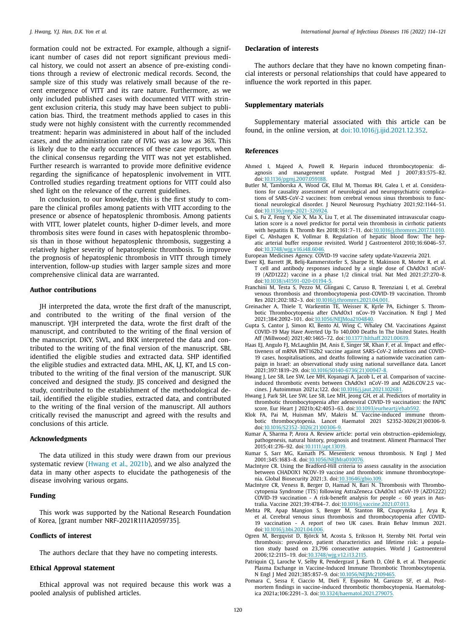<span id="page-6-0"></span>formation could not be extracted. For example, although a significant number of cases did not report significant previous medical history, we could not assert an absence of pre-existing conditions through a review of electronic medical records. Second, the sample size of this study was relatively small because of the recent emergence of VITT and its rare nature. Furthermore, as we only included published cases with documented VITT with stringent exclusion criteria, this study may have been subject to publication bias. Third, the treatment methods applied to cases in this study were not highly consistent with the currently recommended treatment: heparin was administered in about half of the included cases, and the administration rate of IVIG was as low as 36%. This is likely due to the early occurrences of these case reports, when the clinical consensus regarding the VITT was not yet established. Further research is warranted to provide more definitive evidence regarding the significance of hepatosplenic involvement in VITT. Controlled studies regarding treatment options for VITT could also shed light on the relevance of the current guidelines.

In conclusion, to our knowledge, this is the first study to compare the clinical profiles among patients with VITT according to the presence or absence of hepatosplenic thrombosis. Among patients with VITT, lower platelet counts, higher D-dimer levels, and more thrombosis sites were found in cases with hepatosplenic thrombosis than in those without hepatosplenic thrombosis, suggesting a relatively higher severity of hepatosplenic thrombosis. To improve the prognosis of hepatosplenic thrombosis in VITT through timely intervention, follow-up studies with larger sample sizes and more comprehensive clinical data are warranted.

## **Author contributions**

JH interpreted the data, wrote the first draft of the manuscript, and contributed to the writing of the final version of the manuscript. YJH interpreted the data, wrote the first draft of the manuscript, and contributed to the writing of the final version of the manuscript. DKY, SWL, and BKK interpreted the data and contributed to the writing of the final version of the manuscript. SBL identified the eligible studies and extracted data. SHP identified the eligible studies and extracted data. MHL, AK, LJ, KT, and LS contributed to the writing of the final version of the manuscript. SUK conceived and designed the study. JIS conceived and designed the study, contributed to the establishment of the methodological detail, identified the eligible studies, extracted data, and contributed to the writing of the final version of the manuscript. All authors critically revised the manuscript and agreed with the results and conclusions of this article.

#### **Acknowledgments**

The data utilized in this study were drawn from our previous systematic review (Hwang et al., 2021b), and we also analyzed the data in many other aspects to elucidate the pathogenesis of the disease involving various organs.

# **Funding**

This work was supported by the National Research Foundation of Korea, [grant number NRF-2021R1I1A2059735].

## **Conflicts of interest**

The authors declare that they have no competing interests.

# **Ethical Approval statement**

Ethical approval was not required because this work was a pooled analysis of published articles.

# **Declaration of interests**

The authors declare that they have no known competing financial interests or personal relationships that could have appeared to influence the work reported in this paper.

## **Supplementary materials**

Supplementary material associated with this article can be found, in the online version, at [doi:10.1016/j.ijid.2021.12.352.](https://doi.org/10.1016/j.ijid.2021.12.352)

## **References**

- Ahmed I, Majeed A, Powell R. Heparin induced thrombocytopenia: diagnosis and management update. Postgrad Med J 2007;83:575–82. doi[:10.1136/pgmj.2007.059188.](https://doi.org/10.1136/pgmj.2007.059188)
- Butler M, Tamborska A, Wood GK, Ellul M, Thomas RH, Galea I, et al. Considerations for causality assessment of neurological and neuropsychiatric complications of SARS-CoV-2 vaccines: from cerebral venous sinus thrombosis to functional neurological disorder. J Neurol Neurosurg Psychiatry 2021;92:1144–51. doi[:10.1136/jnnp-2021-326924.](https://doi.org/10.1136/jnnp-2021-326924)
- Cui S, Fu Z, Feng Y, Xie X, Ma X, Liu T, et al. The disseminated intravascular coagulation score is a novel predictor for portal vein thrombosis in cirrhotic patients with hepatitis B. Thromb Res 2018;161:7–11. doi[:10.1016/j.thromres.2017.11.010.](https://doi.org/10.1016/j.thromres.2017.11.010)
- Eipel C, Abshagen K, Vollmar B. Regulation of hepatic blood flow: The hepatic arterial buffer response revisited. World J Gastroenterol 2010;16:6046–57. doi[:10.3748/wjg.v16.i48.6046.](https://doi.org/10.3748/wjg.v16.i48.6046)
- European Medicines Agency. COVID-19 vaccine safety update-Vaxzevria 2021.
- Ewer KJ, Barrett JR, Belij-Rammerstorfer S, Sharpe H, Makinson R, Morter R, et al. T cell and antibody responses induced by a single dose of ChAdOx1 nCoV-19 (AZD1222) vaccine in a phase 1/2 clinical trial. Nat Med 2021;27:270–8. doi[:10.1038/s41591-020-01194-5.](https://doi.org/10.1038/s41591-020-01194-5)
- Franchini M, Testa S, Pezzo M, Glingani C, Caruso B, Terenziani I, et al. Cerebral venous thrombosis and thrombocytopenia post-COVID-19 vaccination. Thromb Res 2021;202:182–3. doi[:10.1016/j.thromres.2021.04.001.](https://doi.org/10.1016/j.thromres.2021.04.001)
- Greinacher A, Thiele T, Warkentin TE, Weisser K, Kyrle PA, Eichinger S. Thrombotic Thrombocytopenia after ChAdOx1 nCov-19 Vaccination. N Engl J Med 2021;384:2092–101. doi[:10.1056/NEJMoa2104840.](https://doi.org/10.1056/NEJMoa2104840)
- Gupta S, Cantor J, Simon KI, Bento AI, Wing C, Whaley CM. Vaccinations Against COVID-19 May Have Averted Up To 140,000 Deaths In The United States. Health Aff (Millwood) 2021;40:1465–72. doi[:10.1377/hlthaff.2021.00619.](https://doi.org/10.1377/hlthaff.2021.00619)
- Haas EJ, Angulo FJ, McLaughlin JM, Anis E, Singer SR, Khan F, et al. Impact and effectiveness of mRNA BNT162b2 vaccine against SARS-CoV-2 infections and COVID-19 cases, hospitalisations, and deaths following a nationwide vaccination campaign in Israel: an observational study using national surveillance data. Lancet 2021;397:1819–29. doi[:10.1016/S0140-6736\(21\)00947-8.](https://doi.org/10.1016/S0140-6736(21)00947-8)
- Hwang J, Lee SB, Lee SW, Lee MH, Koyanagi A, Jacob L, et al. Comparison of vaccineinduced thrombotic events between ChAdOx1 nCoV-19 and Ad26.COV.2.S vaccines. J Autoimmun 2021a;122. doi[:10.1016/j.jaut.2021.102681.](https://doi.org/10.1016/j.jaut.2021.102681)
- Hwang J, Park SH, Lee SW, Lee SB, Lee MH, Jeong GH, et al. Predictors of mortality in thrombotic thrombocytopenia after adenoviral COVID-19 vaccination: the FAPIC score. Eur Heart J 2021b;42:4053–63. doi[:10.1093/eurheartj/ehab592.](https://doi.org/10.1093/eurheartj/ehab592)
- Klok FA, Pai M, Huisman MV, Makris M. Vaccine-induced immune thrombotic thrombocytopenia. Lancet Haematol 2021 S2352-3026(21)00306-9. doi[:10.1016/S2352-3026\(21\)00306-9.](https://doi.org/10.1016/S2352-3026(21)00306-9)
- Kumar A, Sharma P, Arora A. Review article: portal vein obstruction–epidemiology, pathogenesis, natural history, prognosis and treatment. Aliment Pharmacol Ther 2015;41:276–92. doi[:10.1111/apt.13019.](https://doi.org/10.1111/apt.13019)
- Kumar S, Sarr MG, Kamath PS. Mesenteric venous thrombosis. N Engl J Med 2001;345:1683–8. doi[:10.1056/NEJMra010076.](https://doi.org/10.1056/NEJMra010076)
- MacIntyre CR. Using the Bradford-Hill criteria to assess causality in the association between CHADOX1 NCOV-19 vaccine and thrombotic immune thrombocytopenia. Global Biosecurity 2021;3. doi[:10.31646/gbio.109.](https://doi.org/10.31646/gbio.109)
- MacIntyre CR, Veness B, Berger D, Hamad N, Bari N, Thrombosis with Thrombocytopenia Syndrome (TTS) following AstraZeneca ChAdOx1 nCoV-19 (AZD1222) COVID-19 vaccination - A risk-benefit analysis for people < 60 years in Australia. Vaccine 2021;39:4784–7. doi[:10.1016/j.vaccine.2021.07.013.](https://doi.org/10.1016/j.vaccine.2021.07.013)
- Mehta PR, Apap Mangion S, Benger M, Stanton BR, Czuprynska J, Arya R, et al. Cerebral venous sinus thrombosis and thrombocytopenia after COVID-19 vaccination - A report of two UK cases. Brain Behav Immun 2021. doi[:10.1016/j.bbi.2021.04.006.](https://doi.org/10.1016/j.bbi.2021.04.006)
- Ogren M, Bergqvist D, Björck M, Acosta S, Eriksson H, Sternby NH. Portal vein thrombosis: prevalence, patient characteristics and lifetime risk: a popula-tion study based on 23,796 consecutive autopsies. World J Gastroenterol 2006;12:2115–19. doi[:10.3748/wjg.v12.i13.2115.](https://doi.org/10.3748/wjg.v12.i13.2115)
- Patriquin CJ, Laroche V, Selby R, Pendergrast J, Barth D, Côté B, et al. Therapeutic Plasma Exchange in Vaccine-Induced Immune Thrombotic Thrombocytopenia. N Engl J Med 2021;385:857–9. doi[:10.1056/NEJMc2109465.](https://doi.org/10.1056/NEJMc2109465)
- Pomara C, Sessa F, Ciaccio M, Dieli F, Esposito M, Garozzo SF, et al. Postmortem findings in vaccine-induced thrombotic thombocytopenia. Haematologica 2021a;106:2291–3. doi[:10.3324/haematol.2021.279075.](https://doi.org/10.3324/haematol.2021.279075)